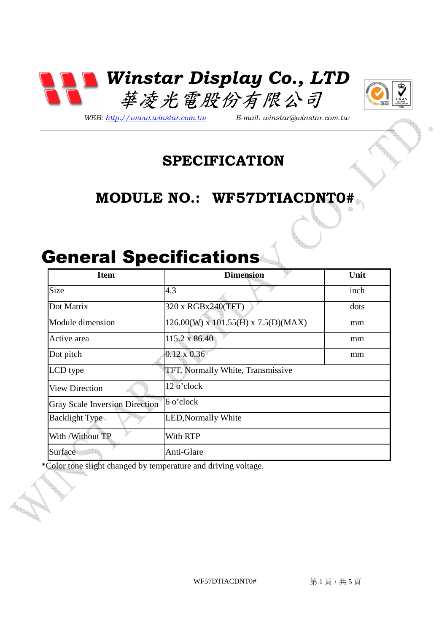



*WEB: http://www.winstar.com.tw E-mail: winstar@winstar.com.tw*

### **SPECIFICATION**

## **MODULE NO.: WF57DTIACDNT0#**

# General Specifications

| <b>Item</b>                           | <b>Dimension</b>                          | Unit |
|---------------------------------------|-------------------------------------------|------|
| Size                                  | 4.3                                       | inch |
| Dot Matrix                            | 320 x RGBx240(TFT)                        | dots |
| Module dimension                      | $126.00(W)$ x $101.55(H)$ x $7.5(D)(MAX)$ | mm   |
| Active area                           | 115.2 x 86.40                             | mm   |
| Dot pitch                             | $0.12 \times 0.36$                        | mm   |
| LCD type                              | TFT, Normally White, Transmissive         |      |
| <b>View Direction</b>                 | 12 o'clock                                |      |
| <b>Gray Scale Inversion Direction</b> | 6 o'clock                                 |      |
| <b>Backlight Type</b>                 | <b>LED, Normally White</b>                |      |
| With / Without TP                     | With RTP                                  |      |
| Surface                               | Anti-Glare                                |      |

\*Color tone slight changed by temperature and driving voltage.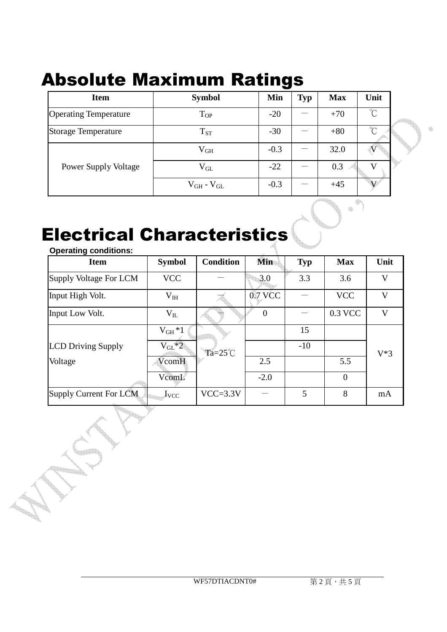## Absolute Maximum Ratings

| <b>Item</b>                  | <b>Symbol</b>       | Min    | <b>Typ</b> | <b>Max</b> | Unit                      |  |
|------------------------------|---------------------|--------|------------|------------|---------------------------|--|
| <b>Operating Temperature</b> | $T_{OP}$            | $-20$  |            | $+70$      | $\mathrm{C}^{\circ}$      |  |
| <b>Storage Temperature</b>   | $T_{ST}$            | $-30$  |            | $+80$      | $\int_0^\infty$           |  |
|                              | $\rm V_{GH}$        | $-0.3$ |            | 32.0       | $\boldsymbol{\mathrm{V}}$ |  |
| <b>Power Supply Voltage</b>  | $V_{GL}$            | $-22$  |            | 0.3        | V                         |  |
|                              | $V_{GH}$ - $V_{GL}$ | $-0.3$ |            | $+45$      |                           |  |

# Electrical Characteristics

**The Second** 

| <b>Operating conditions:</b>  |               |                    |                |            |                |        |
|-------------------------------|---------------|--------------------|----------------|------------|----------------|--------|
| <b>Item</b>                   | <b>Symbol</b> | <b>Condition</b>   | Min            | <b>Typ</b> | <b>Max</b>     | Unit   |
| <b>Supply Voltage For LCM</b> | <b>VCC</b>    |                    | 3.0            | 3.3        | 3.6            | V      |
| Input High Volt.              | $V_{IH}$      |                    | 0.7 VCC        |            | <b>VCC</b>     | V      |
| Input Low Volt.               | $V_{IL}$      |                    | $\overline{0}$ |            | 0.3 VCC        | V      |
|                               | $V_{GH}*1$    |                    |                | 15         |                |        |
| <b>LCD Driving Supply</b>     | $V_{GL}^*2$   | Ta= $25^{\circ}$ C |                | $-10$      |                | $V^*3$ |
| Voltage                       | VcomH         |                    | 2.5            |            | 5.5            |        |
|                               | VcomL         |                    | $-2.0$         |            | $\overline{0}$ |        |
| Supply Current For LCM        | $I_{VCC}$     | $VCC = 3.3V$       |                | 5          | 8              | mA     |

 $\qquad \qquad \oplus$ 

¢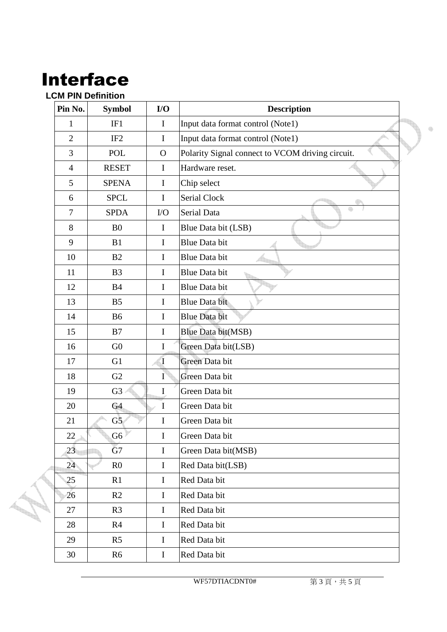## Interface

#### **LCM PIN Definition**

| Pin No.        | <b>Symbol</b>   | I/O          | <b>Description</b>                               |
|----------------|-----------------|--------------|--------------------------------------------------|
| 1              | IF1             | $\mathbf I$  | Input data format control (Note1)                |
| $\overline{2}$ | IF <sub>2</sub> | $\mathbf I$  | Input data format control (Note1)                |
| 3              | <b>POL</b>      | $\mathbf{O}$ | Polarity Signal connect to VCOM driving circuit. |
| $\overline{4}$ | <b>RESET</b>    | $\mathbf I$  | Hardware reset.                                  |
| 5              | <b>SPENA</b>    | $\mathbf I$  | Chip select                                      |
| 6              | <b>SPCL</b>     | I            | <b>Serial Clock</b>                              |
| $\tau$         | <b>SPDA</b>     | $\rm LO$     | Serial Data                                      |
| 8              | B <sub>0</sub>  | $\bf{I}$     | Blue Data bit (LSB)                              |
| 9              | B1              | I            | <b>Blue Data bit</b>                             |
| 10             | B <sub>2</sub>  | I            | <b>Blue Data bit</b>                             |
| 11             | B <sub>3</sub>  | $\mathbf I$  | <b>Blue Data bit</b>                             |
| 12             | <b>B4</b>       | I            | <b>Blue Data bit</b>                             |
| 13             | B <sub>5</sub>  | $\mathbf I$  | <b>Blue Data bit</b>                             |
| 14             | <b>B6</b>       | I            | <b>Blue Data bit</b>                             |
| 15             | B7              | $\mathbf I$  | Blue Data bit(MSB)                               |
| 16             | G <sub>0</sub>  | I            | Green Data bit(LSB)                              |
| 17             | G1              | $\mathbf I$  | Green Data bit                                   |
| 18             | G2              | Ī            | Green Data bit                                   |
| 19             | G <sub>3</sub>  | $\bf I$      | Green Data bit                                   |
| 20             | G4              | $\bf I$      | Green Data bit                                   |
| 21             | G5              | I            | Green Data bit                                   |
| 22             | G <sub>6</sub>  | I            | Green Data bit                                   |
| 23             | G7              | $\bf I$      | Green Data bit(MSB)                              |
| 24             | R <sub>0</sub>  | $\bf I$      | Red Data bit(LSB)                                |
| 25             | R1              | $\mathbf I$  | Red Data bit                                     |
| 26             | R2              | $\mathbf I$  | Red Data bit                                     |
| 27             | R <sub>3</sub>  | $\mathbf I$  | Red Data bit                                     |
| 28             | R <sub>4</sub>  | $\mathbf I$  | Red Data bit                                     |
| 29             | R <sub>5</sub>  | $\bf I$      | Red Data bit                                     |
| 30             | R <sub>6</sub>  | $\mathbf I$  | Red Data bit                                     |

WF57DTIACDNT0# 第3頁,共5頁

4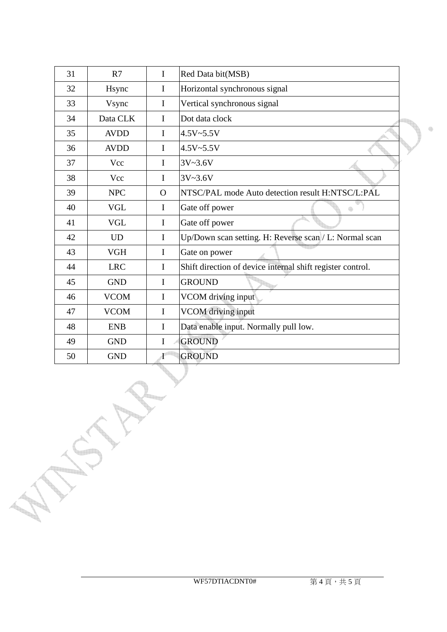| 31 | R7          | $\mathbf I$ | Red Data bit(MSB)                                          |
|----|-------------|-------------|------------------------------------------------------------|
| 32 | Hsync       | $\bf{I}$    | Horizontal synchronous signal                              |
| 33 | Vsync       | I           | Vertical synchronous signal                                |
| 34 | Data CLK    | I           | Dot data clock                                             |
| 35 | <b>AVDD</b> | $\mathbf I$ | $4.5V - 5.5V$                                              |
| 36 | <b>AVDD</b> | I           | $4.5V - 5.5V$                                              |
| 37 | Vcc         | I           | $3V - 3.6V$                                                |
| 38 | Vcc         | I           | $3V - 3.6V$                                                |
| 39 | <b>NPC</b>  | $\Omega$    | NTSC/PAL mode Auto detection result H:NTSC/L:PAL           |
| 40 | <b>VGL</b>  | I           | Gate off power<br>4                                        |
| 41 | <b>VGL</b>  | I           | Gate off power                                             |
| 42 | <b>UD</b>   | I           | Up/Down scan setting. H: Reverse scan/L: Normal scan       |
| 43 | <b>VGH</b>  | I           | Gate on power                                              |
| 44 | <b>LRC</b>  | I           | Shift direction of device internal shift register control. |
| 45 | <b>GND</b>  | I           | <b>GROUND</b>                                              |
| 46 | <b>VCOM</b> | I           | VCOM driving input                                         |
| 47 | <b>VCOM</b> | I           | <b>VCOM</b> driving input                                  |
| 48 | <b>ENB</b>  | I           | Data enable input. Normally pull low.                      |
| 49 | <b>GND</b>  | I           | <b>GROUND</b>                                              |
| 50 | <b>GND</b>  | I           | <b>GROUND</b>                                              |

**Command** 

 $\qquad \qquad \oplus$